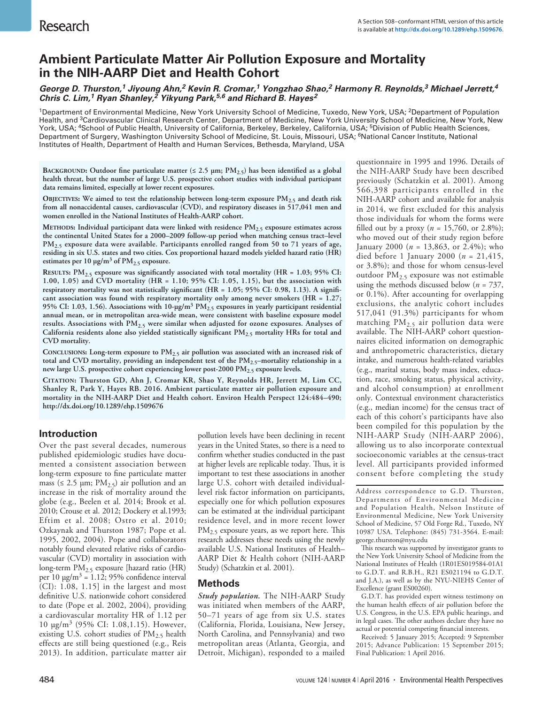# **Ambient Particulate Matter Air Pollution Exposure and Mortality in the NIH-AARP Diet and Health Cohort**

*George D. Thurston,1 Jiyoung Ahn,2 Kevin R. Cromar,1 Yongzhao Shao,2 Harmony R. Reynolds,3 Michael Jerrett,4 Chris C. Lim,1 Ryan Shanley,2 Yikyung Park,5,6 and Richard B. Hayes2*

<sup>1</sup>Department of Environmental Medicine, New York University School of Medicine, Tuxedo, New York, USA; <sup>2</sup>Department of Population Health, and <sup>3</sup>Cardiovascular Clinical Research Center, Department of Medicine, New York University School of Medicine, New York, New York, USA; <sup>4</sup>School of Public Health, University of California, Berkeley, Berkeley, California, USA; <sup>5</sup>Division of Public Health Sciences, Department of Surgery, Washington University School of Medicine, St. Louis, Missouri, USA; <sup>6</sup>National Cancer Institute, National Institutes of Health, Department of Health and Human Services, Bethesda, Maryland, USA

**BACKGROUND:** Outdoor fine particulate matter ( $\leq$  2.5  $\mu$ m; PM<sub>2.5</sub>) has been identified as a global **health threat, but the number of large U.S. prospective cohort studies with individual participant data remains limited, especially at lower recent exposures.**

OBJECTIVES: We aimed to test the relationship between long-term exposure PM<sub>2.5</sub> and death risk **from all nonaccidental causes, cardiovascular (CVD), and respiratory diseases in 517,041 men and women enrolled in the National Institutes of Health-AARP cohort.**

**Methods: Individual participant data were linked with residence PM2.5 exposure estimates across the continental United States for a 2000–2009 follow-up period when matching census tract–level PM2.5 exposure data were available. Participants enrolled ranged from 50 to 71 years of age, residing in six U.S. states and two cities. Cox proportional hazard models yielded hazard ratio (HR)** estimates per  $10 \mu g/m^3$  of  $PM_{2.5}$  exposure.

**Results: PM2.5 exposure was significantly associated with total mortality (HR = 1.03; 95% CI: 1.00, 1.05) and CVD mortality (HR = 1.10; 95% CI: 1.05, 1.15), but the association with respiratory mortality was not statistically significant (HR = 1.05; 95% CI: 0.98, 1.13). A significant association was found with respiratory mortality only among never smokers (HR = 1.27; 95% CI: 1.03, 1.56). Associations with 10-μg/m3 PM2.5 exposures in yearly participant residential annual mean, or in metropolitan area-wide mean, were consistent with baseline exposure model results. Associations with PM2.5 were similar when adjusted for ozone exposures. Analyses of California residents alone also yielded statistically significant PM2.5 mortality HRs for total and CVD mortality.**

CONCLUSIONS: Long-term exposure to  $PM_{2.5}$  air pollution was associated with an increased risk of **total and CVD mortality, providing an independent test of the PM2.5–mortality relationship in a new large U.S. prospective cohort experiencing lower post-2000 PM2.5 exposure levels.**

**Citation: Thurston GD, Ahn J, Cromar KR, Shao Y, Reynolds HR, Jerrett M, Lim CC, Shanley R, Park Y, Hayes RB. 2016. Ambient particulate matter air pollution exposure and mortality in the NIH-AARP Diet and Health cohort. Environ Health Perspect 124:484–490; http://dx.doi.org/10.1289/ehp.1509676**

## **Introduction**

Over the past several decades, numerous published epidemiologic studies have documented a consistent association between long-term exposure to fine particulate matter mass ( $\leq 2.5$  µm; PM<sub>2.5</sub>) air pollution and an increase in the risk of mortality around the globe (e.g., Beelen et al. 2014; Brook et al. 2010; Crouse et al. 2012; Dockery et al.1993; Eftim et al. 2008; Ostro et al. 2010; Ozkaynak and Thurston 1987; Pope et al. 1995, 2002, 2004). Pope and collaborators notably found elevated relative risks of cardiovascular (CVD) mortality in association with long-term PM2.5 exposure [hazard ratio (HR) per 10  $\mu$ g/m<sup>3</sup> = 1.12; 95% confidence interval (CI): 1.08, 1.15] in the largest and most definitive U.S. nationwide cohort considered to date (Pope et al. 2002, 2004), providing a cardiovascular mortality HR of 1.12 per 10 μg/m<sup>3</sup> (95% CI: 1.08,1.15). However, existing U.S. cohort studies of  $PM<sub>2.5</sub>$  health effects are still being questioned (e.g., Reis 2013). In addition, particulate matter air

pollution levels have been declining in recent years in the United States, so there is a need to confirm whether studies conducted in the past at higher levels are replicable today. Thus, it is important to test these associations in another large U.S. cohort with detailed individuallevel risk factor information on participants, especially one for which pollution exposures can be estimated at the individual participant residence level, and in more recent lower  $PM_{2.5}$  exposure years, as we report here. This research addresses these needs using the newly available U.S. National Institutes of Health– AARP Diet & Health cohort (NIH-AARP Study) (Schatzkin et al. 2001).

## **Methods**

*Study population.* The NIH-AARP Study was initiated when members of the AARP, 50–71 years of age from six U.S. states (California, Florida, Louisiana, New Jersey, North Carolina, and Pennsylvania) and two metropolitan areas (Atlanta, Georgia, and Detroit, Michigan), responded to a mailed

questionnaire in 1995 and 1996. Details of the NIH-AARP Study have been described previously (Schatzkin et al. 2001). Among 566,398 participants enrolled in the NIH-AARP cohort and available for analysis in 2014, we first excluded for this analysis those individuals for whom the forms were filled out by a proxy ( $n = 15,760$ , or 2.8%); who moved out of their study region before January 2000 (*n* = 13,863, or 2.4%); who died before 1 January 2000 (*n* = 21,415, or 3.8%); and those for whom census-level outdoor  $PM_{2.5}$  exposure was not estimable using the methods discussed below (*n* = 737, or 0.1%). After accounting for overlapping exclusions, the analytic cohort includes 517,041 (91.3%) participants for whom matching  $PM_{2.5}$  air pollution data were available. The NIH-AARP cohort questionnaires elicited information on demographic and anthropometric characteristics, dietary intake, and numerous health-related variables (e.g., marital status, body mass index, education, race, smoking status, physical activity, and alcohol consumption) at enrollment only. Contextual environment characteristics (e.g., median income) for the census tract of each of this cohort's participants have also been compiled for this population by the NIH-AARP Study (NIH-AARP 2006), allowing us to also incorporate contextual socioeconomic variables at the census-tract level. All participants provided informed consent before completing the study

Address correspondence to G.D. Thurston, Departments of Environmental Medicine and Population Health, Nelson Institute of Environmental Medicine, New York University School of Medicine, 57 Old Forge Rd., Tuxedo, NY 10987 USA. Telephone: (845) 731-3564. E-mail: george.thurston@nyu.edu

This research was supported by investigator grants to the New York University School of Medicine from the National Institutes of Health (1R01ES019584-01A1 to G.D.T. and R.B.H., R21 ES021194 to G.D.T. and J.A.), as well as by the NYU-NIEHS Center of Excellence (grant ES00260).

G.D.T. has provided expert witness testimony on the human health effects of air pollution before the U.S. Congress, in the U.S. EPA public hearings, and in legal cases. The other authors declare they have no actual or potential competing financial interests.

Received: 5 January 2015; Accepted: 9 September 2015; Advance Publication: 15 September 2015; Final Publication: 1 April 2016.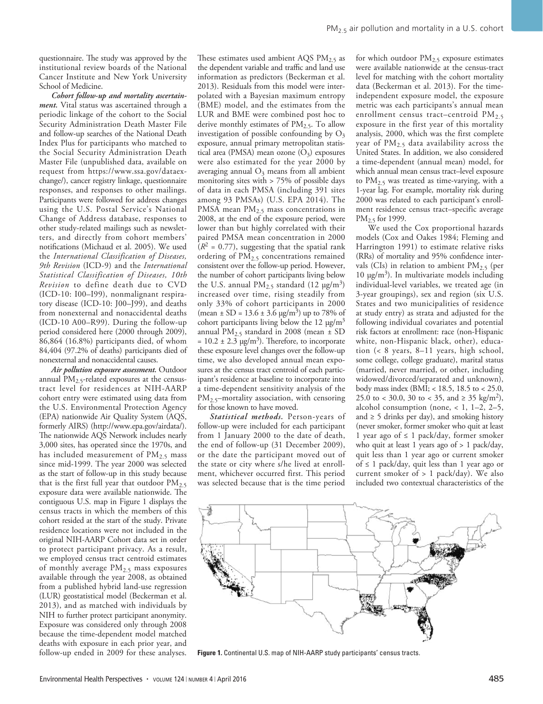questionnaire. The study was approved by the institutional review boards of the National Cancer Institute and New York University School of Medicine.

*Cohort follow-up and mortality ascertainment.* Vital status was ascertained through a periodic linkage of the cohort to the Social Security Administration Death Master File and follow-up searches of the National Death Index Plus for participants who matched to the Social Security Administration Death Master File (unpublished data, available on request from https://www.ssa.gov/dataexchange/), cancer registry linkage, questionnaire responses, and responses to other mailings. Participants were followed for address changes using the U.S. Postal Service's National Change of Address database, responses to other study-related mailings such as newsletters, and directly from cohort members' notifications (Michaud et al. 2005). We used the *International Classification of Diseases, 9th Revision* (ICD-9) and the *International Statistical Classification of Diseases, 10th Revision* to define death due to CVD (ICD-10: I00–I99), nonmalignant respiratory disease (ICD-10: J00–J99), and deaths from nonexternal and nonaccidental deaths (ICD-10 A00–R99). During the follow-up period considered here (2000 through 2009), 86,864 (16.8%) participants died, of whom 84,404 (97.2% of deaths) participants died of nonexternal and nonaccidental causes.

*Air pollution exposure assessment.* Outdoor annual  $PM_{2.5}$ -related exposures at the censustract level for residences at NIH-AARP cohort entry were estimated using data from the U.S. Environmental Protection Agency (EPA) nationwide Air Quality System (AQS, formerly AIRS) (http://www.epa.gov/airdata/). The nationwide AQS Network includes nearly 3,000 sites, has operated since the 1970s, and has included measurement of  $PM<sub>2.5</sub>$  mass since mid-1999. The year 2000 was selected as the start of follow-up in this study because that is the first full year that outdoor  $PM_{2.5}$ exposure data were available nationwide. The contiguous U.S. map in Figure 1 displays the census tracts in which the members of this cohort resided at the start of the study. Private residence locations were not included in the original NIH-AARP Cohort data set in order to protect participant privacy. As a result, we employed census tract centroid estimates of monthly average PM<sub>2.5</sub> mass exposures available through the year 2008, as obtained from a published hybrid land-use regression (LUR) geostatistical model (Beckerman et al. 2013), and as matched with individuals by NIH to further protect participant anonymity. Exposure was considered only through 2008 because the time-dependent model matched deaths with exposure in each prior year, and follow-up ended in 2009 for these analyses.

These estimates used ambient AQS  $PM_{2.5}$  as the dependent variable and traffic and land use information as predictors (Beckerman et al. 2013). Residuals from this model were interpolated with a Bayesian maximum entropy (BME) model, and the estimates from the LUR and BME were combined post hoc to derive monthly estimates of  $PM<sub>2.5</sub>$ . To allow investigation of possible confounding by  $O_3$ exposure, annual primary metropolitan statistical area (PMSA) mean ozone  $(\bar{O}_3)$  exposures were also estimated for the year 2000 by averaging annual  $O_3$  means from all ambient monitoring sites with > 75% of possible days of data in each PMSA (including 391 sites among 93 PMSAs) (U.S. EPA 2014). The PMSA mean  $PM_{2.5}$  mass concentrations in 2008, at the end of the exposure period, were lower than but highly correlated with their paired PMSA mean concentration in 2000  $(R<sup>2</sup> = 0.77)$ , suggesting that the spatial rank ordering of PM<sub>2.5</sub> concentrations remained consistent over the follow-up period. However, the number of cohort participants living below the U.S. annual  $PM_{2.5}$  standard (12  $\mu$ g/m<sup>3</sup>) increased over time, rising steadily from only 33% of cohort participants in 2000 (mean *±* SD = 13.6 ± 3.6 μg/m3) up to 78% of cohort participants living below the 12  $\mu$ g/m<sup>3</sup> annual PM2.5 standard in 2008 (mean *±* SD  $= 10.2 \pm 2.3 \text{ µg/m}^3$ . Therefore, to incorporate these exposure level changes over the follow-up time, we also developed annual mean exposures at the census tract centroid of each participant's residence at baseline to incorporate into a time-dependent sensitivity analysis of the PM<sub>2.5</sub>–mortality association, with censoring for those known to have moved.

*Statistical methods.* Person-years of follow-up were included for each participant from 1 January 2000 to the date of death, the end of follow-up (31 December 2009), or the date the participant moved out of the state or city where s/he lived at enrollment, whichever occurred first. This period was selected because that is the time period

for which outdoor  $PM_{2.5}$  exposure estimates were available nationwide at the census-tract level for matching with the cohort mortality data (Beckerman et al. 2013). For the timeindependent exposure model, the exposure metric was each participants's annual mean enrollment census tract–centroid  $PM_{2.5}$ exposure in the first year of this mortality analysis, 2000, which was the first complete year of  $PM_{2.5}$  data availability across the United States. In addition, we also considered a time-dependent (annual mean) model, for which annual mean census tract–level exposure to  $PM_{2.5}$  was treated as time-varying, with a 1-year lag. For example, mortality risk during 2000 was related to each participant's enrollment residence census tract–specific average  $PM<sub>2</sub>$  for 1999.

We used the Cox proportional hazards models (Cox and Oakes 1984; Fleming and Harrington 1991) to estimate relative risks (RRs) of mortality and 95% confidence intervals (CIs) in relation to ambient  $PM_{2.5}$  (per 10 μg/m<sup>3</sup>). In multivariate models including individual-level variables, we treated age (in 3-year groupings), sex and region (six U.S. States and two municipalities of residence at study entry) as strata and adjusted for the following individual covariates and potential risk factors at enrollment: race (non-Hispanic white, non-Hispanic black, other), education (< 8 years, 8–11 years, high school, some college, college graduate), marital status (married, never married, or other, including widowed/divorced/separated and unknown), body mass index (BMI; < 18.5, 18.5 to < 25.0, 25.0 to < 30.0, 30 to < 35, and  $\geq$  35 kg/m<sup>2</sup>), alcohol consumption (none, < 1, 1–2, 2–5, and  $\geq$  5 drinks per day), and smoking history (never smoker, former smoker who quit at least 1 year ago of ≤ 1 pack/day, former smoker who quit at least 1 years ago of > 1 pack/day, quit less than 1 year ago or current smoker of ≤ 1 pack/day, quit less than 1 year ago or current smoker of  $> 1$  pack/day). We also included two contextual characteristics of the



**Figure 1.** Continental U.S. map of NIH-AARP study participants' census tracts.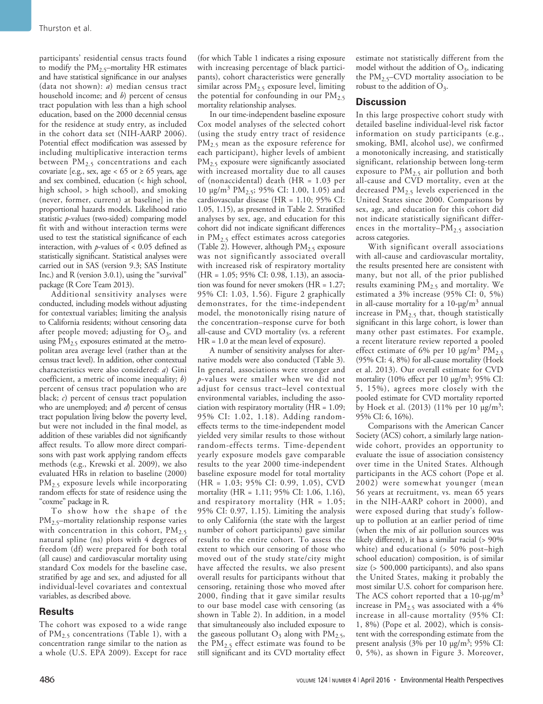participants' residential census tracts found to modify the  $PM_{2.5}$ -mortality HR estimates and have statistical significance in our analyses (data not shown): *a*) median census tract household income; and *b*) percent of census tract population with less than a high school education, based on the 2000 decennial census for the residence at study entry, as included in the cohort data set (NIH-AARP 2006). Potential effect modification was assessed by including multiplicative interaction terms between PM<sub>2.5</sub> concentrations and each covariate [e.g., sex, age <  $65$  or  $\geq 65$  years, age and sex combined, education (< high school, high school, > high school), and smoking (never, former, current) at baseline] in the proportional hazards models. Likelihood ratio statistic *p*-values (two-sided) comparing model fit with and without interaction terms were used to test the statistical significance of each interaction, with  $p$ -values of < 0.05 defined as statistically significant. Statistical analyses were carried out in SAS (version 9.3; SAS Institute Inc.) and R (version 3.0.1), using the "survival" package (R Core Team 2013).

Additional sensitivity analyses were conducted, including models without adjusting for contextual variables; limiting the analysis to California residents; without censoring data after people moved; adjusting for  $O_3$ , and using  $PM<sub>2.5</sub>$  exposures estimated at the metropolitan area average level (rather than at the census tract level). In addition, other contextual characteristics were also considered: *a*) Gini coefficient, a metric of income inequality; *b*) percent of census tract population who are black; *c*) percent of census tract population who are unemployed; and *d*) percent of census tract population living below the poverty level, but were not included in the final model, as addition of these variables did not significantly affect results. To allow more direct comparisons with past work applying random effects methods (e.g., Krewski et al. 2009), we also evaluated HRs in relation to baseline (2000) PM<sub>2.5</sub> exposure levels while incorporating random effects for state of residence using the "coxme" package in R.

To show how the shape of the PM2.5–mortality relationship response varies with concentration in this cohort,  $PM_{2.5}$ natural spline (ns) plots with 4 degrees of freedom (df) were prepared for both total (all cause) and cardiovascular mortality using standard Cox models for the baseline case, stratified by age and sex, and adjusted for all individual-level covariates and contextual variables, as described above.

### **Results**

The cohort was exposed to a wide range of  $PM_{2.5}$  concentrations (Table 1), with a concentration range similar to the nation as a whole (U.S. EPA 2009). Except for race

(for which Table 1 indicates a rising exposure with increasing percentage of black participants), cohort characteristics were generally similar across  $PM_{2.5}$  exposure level, limiting the potential for confounding in our  $PM_{2.5}$ mortality relationship analyses.

In our time-independent baseline exposure Cox model analyses of the selected cohort (using the study entry tract of residence PM<sub>2.5</sub> mean as the exposure reference for each participant), higher levels of ambient PM<sub>2.5</sub> exposure were significantly associated with increased mortality due to all causes of (nonaccidental) death (HR = 1.03 per 10 μg/m<sup>3</sup> PM<sub>2.5</sub>; 95% CI: 1.00, 1.05) and cardiovascular disease (HR = 1.10; 95% CI: 1.05, 1.15), as presented in Table 2. Stratified analyses by sex, age, and education for this cohort did not indicate significant differences in  $PM<sub>2.5</sub>$  effect estimates across categories (Table 2). However, although  $PM_{2.5}$  exposure was not significantly associated overall with increased risk of respiratory mortality (HR = 1.05; 95% CI: 0.98, 1.13), an association was found for never smokers (HR = 1.27; 95% CI: 1.03, 1.56). Figure 2 graphically demonstrates, for the time-independent model, the monotonically rising nature of the concentration–response curve for both all-cause and CVD mortality (vs. a referent HR = 1.0 at the mean level of exposure).

A number of sensitivity analyses for alternative models were also conducted (Table 3). In general, associations were stronger and *p*-values were smaller when we did not adjust for census tract–level contextual environmental variables, including the association with respiratory mortality (HR = 1.09; 95% CI: 1.02, 1.18). Adding randomeffects terms to the time-independent model yielded very similar results to those without random-effects terms. Time-dependent yearly exposure models gave comparable results to the year 2000 time-independent baseline exposure model for total mortality (HR = 1.03; 95% CI: 0.99, 1.05), CVD mortality (HR = 1.11; 95% CI: 1.06, 1.16), and respiratory mortality ( $HR = 1.05$ ; 95% CI: 0.97, 1.15). Limiting the analysis to only California (the state with the largest number of cohort participants) gave similar results to the entire cohort. To assess the extent to which our censoring of those who moved out of the study state/city might have affected the results, we also present overall results for participants without that censoring, retaining those who moved after 2000, finding that it gave similar results to our base model case with censoring (as shown in Table 2). In addition, in a model that simultaneously also included exposure to the gaseous pollutant  $O_3$  along with  $PM_{2.5}$ , the  $PM_{2.5}$  effect estimate was found to be still significant and its CVD mortality effect estimate not statistically different from the model without the addition of  $O_3$ , indicating the  $PM_{2.5}$ –CVD mortality association to be robust to the addition of  $O_3$ .

## **Discussion**

In this large prospective cohort study with detailed baseline individual-level risk factor information on study participants (e.g., smoking, BMI, alcohol use), we confirmed a monotonically increasing, and statistically significant, relationship between long-term exposure to PM2.5 air pollution and both all-cause and CVD mortality, even at the decreased PM2.5 levels experienced in the United States since 2000. Comparisons by sex, age, and education for this cohort did not indicate statistically significant differences in the mortality– $PM_{2.5}$  association across categories.

With significant overall associations with all-cause and cardiovascular mortality, the results presented here are consistent with many, but not all, of the prior published results examining PM2.5 and mortality. We estimated a 3% increase (95% CI: 0, 5%) in all-cause mortality for a  $10$ -μg/m<sup>3</sup> annual increase in  $PM_{2.5}$  that, though statistically significant in this large cohort, is lower than many other past estimates. For example, a recent literature review reported a pooled effect estimate of 6% per 10  $\mu$ g/m<sup>3</sup> PM<sub>2.5</sub> (95% CI: 4, 8%) for all-cause mortality (Hoek et al. 2013). Our overall estimate for CVD mortality (10% effect per 10  $\mu$ g/m<sup>3</sup>; 95% CI: 5, 15%), agrees more closely with the pooled estimate for CVD mortality reported by Hoek et al. (2013) (11% per 10  $\mu$ g/m<sup>3</sup>; 95% CI: 6, 16%).

Comparisons with the American Cancer Society (ACS) cohort, a similarly large nationwide cohort, provides an opportunity to evaluate the issue of association consistency over time in the United States. Although participants in the ACS cohort (Pope et al. 2002) were somewhat younger (mean 56 years at recruitment, vs. mean 65 years in the NIH-AARP cohort in 2000), and were exposed during that study's followup to pollution at an earlier period of time (when the mix of air pollution sources was likely different), it has a similar racial (> 90% white) and educational (> 50% post–high school education) composition, is of similar size (> 500,000 participants), and also spans the United States, making it probably the most similar U.S. cohort for comparison here. The ACS cohort reported that a  $10$ - $\mu$ g/m<sup>3</sup> increase in  $PM_{2.5}$  was associated with a 4% increase in all-cause mortality (95% CI: 1, 8%) (Pope et al. 2002), which is consistent with the corresponding estimate from the present analysis (3% per 10  $\mu$ g/m<sup>3</sup>; 95% CI: 0, 5%), as shown in Figure 3. Moreover,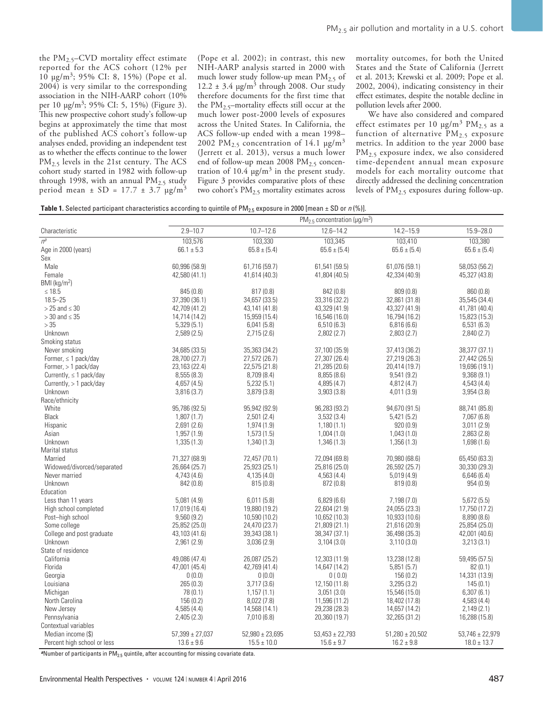the  $PM_{2.5}$ -CVD mortality effect estimate reported for the ACS cohort (12% per 10 μg/m<sup>3</sup>; 95% CI: 8, 15%) (Pope et al. 2004) is very similar to the corresponding association in the NIH-AARP cohort (10% per 10  $\mu$ g/m<sup>3</sup>; 95% CI: 5, 15%) (Figure 3). This new prospective cohort study's follow-up begins at approximately the time that most of the published ACS cohort's follow-up analyses ended, providing an independent test as to whether the effects continue to the lower PM<sub>2.5</sub> levels in the 21st century. The ACS cohort study started in 1982 with follow-up through 1998, with an annual  $PM_{2.5}$  study period mean *±* SD = 17.7 ± 3.7 μg/m<sup>3</sup>

(Pope et al. 2002); in contrast, this new NIH-AARP analysis started in 2000 with much lower study follow-up mean  $PM_{2.5}$  of  $12.2 \pm 3.4$  μg/m<sup>3</sup> through 2008. Our study therefore documents for the first time that the  $PM<sub>2</sub>$ <sub>5</sub>–mortality effects still occur at the much lower post-2000 levels of exposures across the United States. In California, the ACS follow-up ended with a mean 1998– 2002 PM<sub>2.5</sub> concentration of 14.1  $\mu$ g/m<sup>3</sup> (Jerrett et al. 2013), versus a much lower end of follow-up mean 2008 PM<sub>2.5</sub> concentration of  $10.4 \text{ µg/m}^3$  in the present study. Figure 3 provides comparative plots of these two cohort's PM<sub>2.5</sub> mortality estimates across mortality outcomes, for both the United States and the State of California (Jerrett et al. 2013; Krewski et al. 2009; Pope et al. 2002, 2004), indicating consistency in their effect estimates, despite the notable decline in pollution levels after 2000.

We have also considered and compared effect estimates per 10  $\mu$ g/m<sup>3</sup> PM<sub>2.5</sub> as a function of alternative  $PM_{2.5}$  exposure metrics. In addition to the year 2000 base PM2.5 exposure index, we also considered time-dependent annual mean exposure models for each mortality outcome that directly addressed the declining concentration levels of  $PM_{2.5}$  exposures during follow-up.

**Table 1.** Selected participant characteristics according to quintile of PM<sub>2.5</sub> exposure in 2000 [mean  $\pm$  SD or *n* (%)].

|                                              | $PM_{2.5}$ concentration ( $\mu$ g/m <sup>3</sup> ) |                                |                                |                                |                             |  |  |  |
|----------------------------------------------|-----------------------------------------------------|--------------------------------|--------------------------------|--------------------------------|-----------------------------|--|--|--|
| Characteristic                               | $2.9 - 10.7$                                        | $10.7 - 12.6$                  | $12.6 - 14.2$                  | $14.2 - 15.9$                  | $15.9 - 28.0$               |  |  |  |
| $n^a$                                        | 103,576                                             | 103,330                        | 103,345                        | 103,410                        | 103,380                     |  |  |  |
| Age in 2000 (years)                          | $66.1 \pm 5.3$                                      | $65.8 \pm (5.4)$               | $65.6 \pm (5.4)$               | $65.6 \pm (5.4)$               | $65.6 \pm (5.4)$            |  |  |  |
| Sex                                          |                                                     |                                |                                |                                |                             |  |  |  |
| Male                                         | 60,996 (58.9)                                       | 61,716 (59.7)                  | 61,541 (59.5)                  | 61,076 (59.1)                  | 58,053 (56.2)               |  |  |  |
| Female                                       | 42,580 (41.1)                                       | 41,614 (40.3)                  | 41,804 (40.5)                  | 42,334 (40.9)                  | 45,327 (43.8)               |  |  |  |
| BMI (kg/m <sup>2</sup> )                     |                                                     |                                |                                |                                |                             |  |  |  |
| $\leq 18.5$<br>$18.5 - 25$                   | 845 (0.8)                                           | 817(0.8)                       | 842 (0.8)                      | 809(0.8)                       | 860 (0.8)                   |  |  |  |
|                                              | 37,390 (36.1)                                       | 34,657 (33.5)                  | 33,316 (32.2)                  | 32,861 (31.8)                  | 35,545 (34.4)               |  |  |  |
| $>$ 25 and $\leq$ 30<br>$>$ 30 and $\leq$ 35 | 42,709 (41.2)                                       | 43,141 (41.8)<br>15,959 (15.4) | 43,329 (41.9)                  | 43,327 (41.9)                  | 41,781 (40.4)               |  |  |  |
| >35                                          | 14,714 (14.2)<br>5,329(5.1)                         | 6,041(5.8)                     | 16,546 (16.0)<br>6,510(6.3)    | 16,794 (16.2)<br>6,816(6.6)    | 15,823 (15.3)<br>6,531(6.3) |  |  |  |
| Unknown                                      | 2,589(2.5)                                          | 2,715(2.6)                     | 2,802(2.7)                     | 2,803(2.7)                     | 2,840(2.7)                  |  |  |  |
| Smoking status                               |                                                     |                                |                                |                                |                             |  |  |  |
| Never smoking                                | 34,685 (33.5)                                       | 35,363 (34.2)                  | 37,100 (35.9)                  | 37,413 (36.2)                  | 38,377 (37.1)               |  |  |  |
| Former, $\leq 1$ pack/day                    | 28,700 (27.7)                                       | 27,572 (26.7)                  | 27,307 (26.4)                  | 27,219 (26.3)                  | 27,442 (26.5)               |  |  |  |
| Former, > 1 pack/day                         | 23,163 (22.4)                                       | 22,575 (21.8)                  | 21,285 (20.6)                  | 20,414 (19.7)                  | 19,696 (19.1)               |  |  |  |
| Currently, $\leq 1$ pack/day                 | 8,555 (8.3)                                         | 8,709 (8.4)                    | 8,855(8.6)                     | 9,541(9.2)                     | 9,368(9.1)                  |  |  |  |
| Currently, $> 1$ pack/day                    | 4,657 (4.5)                                         | 5,232(5.1)                     | 4,895 (4.7)                    | 4,812(4.7)                     | 4,543 (4.4)                 |  |  |  |
| Unknown                                      | 3,816 (3.7)                                         | 3,879(3.8)                     | 3,903(3.8)                     | 4,011(3.9)                     | 3,954 (3.8)                 |  |  |  |
| Race/ethnicity                               |                                                     |                                |                                |                                |                             |  |  |  |
| White                                        | 95,786 (92.5)                                       | 95,942 (92.9)                  | 96,283 (93.2)                  | 94,670 (91.5)                  | 88,741 (85.8)               |  |  |  |
| Black                                        | 1,807(1.7)                                          | 2,501(2.4)                     | 3,532(3.4)                     | 5,421(5.2)                     | 7,067(6.8)                  |  |  |  |
| Hispanic                                     | 2,691(2.6)                                          | 1,974(1.9)                     | 1,180(1.1)                     | 920(0.9)                       | 3,011(2.9)                  |  |  |  |
| Asian                                        | 1,957(1.9)                                          | 1,573(1.5)                     | 1,004(1.0)                     | 1,043(1.0)                     | 2,863(2.8)                  |  |  |  |
| Unknown                                      | 1,335(1.3)                                          | 1,340 (1.3)                    | 1,346(1.3)                     | 1,356(1.3)                     | 1,698 (1.6)                 |  |  |  |
| Marital status                               |                                                     |                                |                                |                                |                             |  |  |  |
| Married                                      | 71,327 (68.9)                                       | 72,457 (70.1)                  | 72,094 (69.8)                  | 70,980 (68.6)                  | 65,450 (63.3)               |  |  |  |
| Widowed/divorced/separated                   | 26,664 (25.7)                                       | 25,923 (25.1)                  | 25,816 (25.0)                  | 26,592 (25.7)                  | 30,330 (29.3)               |  |  |  |
| Never married                                | 4,743(4.6)                                          | 4,135(4.0)                     | 4,563(4.4)                     | 5,019(4.9)                     | 6,646(6.4)                  |  |  |  |
| Unknown                                      | 842 (0.8)                                           | 815(0.8)                       | 872 (0.8)                      | 819(0.8)                       | 954 (0.9)                   |  |  |  |
| Education                                    |                                                     |                                |                                |                                |                             |  |  |  |
| Less than 11 years                           | 5,081(4.9)                                          | 6,011(5.8)                     | 6,829(6.6)                     | 7,198(7.0)                     | 5,672(5.5)                  |  |  |  |
| High school completed                        | 17,019 (16.4)                                       | 19,880 (19.2)                  | 22,604 (21.9)                  | 24,055 (23.3)                  | 17,750 (17.2)               |  |  |  |
| Post-high school                             | 9,560(9.2)                                          | 10,590 (10.2)                  | 10,652 (10.3)                  | 10,933 (10.6)                  | 8,890 (8.6)                 |  |  |  |
| Some college                                 | 25,852 (25.0)                                       | 24,470 (23.7)                  | 21,809 (21.1)                  | 21,616 (20.9)                  | 25,854 (25.0)               |  |  |  |
| College and post graduate                    | 43,103 (41.6)                                       | 39,343 (38.1)                  | 38, 347 (37.1)                 | 36,498 (35.3)                  | 42,001 (40.6)               |  |  |  |
| Unknown                                      | 2,961 (2.9)                                         | 3,036(2.9)                     | 3,104(3.0)                     | 3,110(3.0)                     | 3,213(3.1)                  |  |  |  |
| State of residence                           |                                                     |                                |                                |                                |                             |  |  |  |
| California                                   | 49,086 (47.4)                                       | 26,087 (25.2)                  | 12,303 (11.9)                  | 13,238 (12.8)                  | 59,495 (57.5)               |  |  |  |
| Florida                                      | 47,001 (45.4)                                       | 42,769 (41.4)                  | 14,647 (14.2)                  | 5,851(5.7)                     | 82(0.1)                     |  |  |  |
| Georgia                                      | 0(0.0)                                              | 0(0.0)                         | 0(0.0)                         | 156 (0.2)                      | 14,331 (13.9)               |  |  |  |
| Louisiana                                    | 265 (0.3)                                           | 3,717(3.6)                     | 12,150 (11.8)                  | 3,295(3.2)                     | 145(0.1)                    |  |  |  |
| Michigan<br>North Carolina                   | 78 (0.1)                                            | 1,157(1.1)                     | 3,051(3.0)                     | 15,546 (15.0)                  | 6,307(6.1)<br>4,583(4.4)    |  |  |  |
|                                              | 156 (0.2)                                           | 8,022 (7.8)                    | 11,596 (11.2)<br>29,238 (28.3) | 18,402 (17.8)                  |                             |  |  |  |
| New Jersey<br>Pennsylvania                   | 4,585(4.4)<br>2,405(2.3)                            | 14,568 (14.1)<br>7,010(6.8)    | 20,360 (19.7)                  | 14,657 (14.2)<br>32,265 (31.2) | 2,149(2.1)<br>16,288 (15.8) |  |  |  |
| Contextual variables                         |                                                     |                                |                                |                                |                             |  |  |  |
| Median income (\$)                           | $57,399 \pm 27,037$                                 | $52,980 \pm 23,695$            | $53,453 \pm 22,793$            | $51,280 \pm 20,502$            | $53,746 \pm 22,979$         |  |  |  |
| Percent high school or less                  | $13.6 \pm 9.6$                                      | $15.5 \pm 10.0$                | $15.6 \pm 9.7$                 | $16.2 \pm 9.8$                 | $18.0 \pm 13.7$             |  |  |  |
|                                              |                                                     |                                |                                |                                |                             |  |  |  |

<sup>a</sup>Number of participants in PM<sub>2.5</sub> quintile, after accounting for missing covariate data.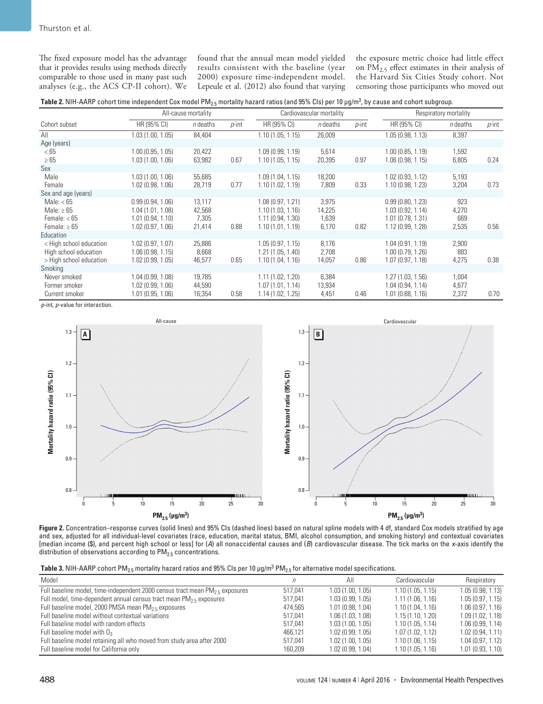The fixed exposure model has the advantage that it provides results using methods directly comparable to those used in many past such analyses (e.g., the ACS CP-II cohort). We found that the annual mean model yielded results consistent with the baseline (year 2000) exposure time-independent model. Lepeule et al. (2012) also found that varying the exposure metric choice had little effect on  $PM_{2.5}$  effect estimates in their analysis of the Harvard Six Cities Study cohort. Not censoring those participants who moved out

| <b>Table 2.</b> NIH-AARP cohort time independent Cox model PM <sub>2.5</sub> mortality hazard ratios (and 95% CIs) per 10 µg/m <sup>3</sup> , by cause and cohort subgroup. |  |
|-----------------------------------------------------------------------------------------------------------------------------------------------------------------------------|--|
|-----------------------------------------------------------------------------------------------------------------------------------------------------------------------------|--|

|                                                                             |                                                                              | All-cause mortality                 |          |                                                                              | Cardiovascular mortality          |          |                                                                                  | Respiratory mortality        |          |
|-----------------------------------------------------------------------------|------------------------------------------------------------------------------|-------------------------------------|----------|------------------------------------------------------------------------------|-----------------------------------|----------|----------------------------------------------------------------------------------|------------------------------|----------|
| Cohort subset                                                               | HR (95% CI)                                                                  | $n$ deaths                          | $p$ -int | HR (95% CI)                                                                  | $n$ deaths                        | $p$ -int | HR (95% CI)                                                                      | $n$ deaths                   | $p$ -int |
| All                                                                         | 1.03(1.00, 1.05)                                                             | 84,404                              |          | 1.10(1.05, 1.15)                                                             | 26,009                            |          | 1.05(0.98, 1.13)                                                                 | 8,397                        |          |
| Age (years)                                                                 |                                                                              |                                     |          |                                                                              |                                   |          |                                                                                  |                              |          |
| < 65                                                                        | 1.00(0.95, 1.05)                                                             | 20,422                              |          | 1.09(0.99, 1.19)                                                             | 5,614                             |          | 1.00(0.85, 1.19)                                                                 | 1,592                        |          |
| $\geq 65$                                                                   | 1.03(1.00, 1.06)                                                             | 63,982                              | 0.67     | 1.10(1.05, 1.15)                                                             | 20,395                            | 0.97     | 1.06(0.98, 1.15)                                                                 | 6,805                        | 0.24     |
| Sex                                                                         |                                                                              |                                     |          |                                                                              |                                   |          |                                                                                  |                              |          |
| Male                                                                        | 1.03(1.00, 1.06)                                                             | 55,685                              |          | 1.09(1.04, 1.15)                                                             | 18,200                            |          | 1.02(0.93, 1.12)                                                                 | 5,193                        |          |
| Female                                                                      | 1.02(0.98, 1.06)                                                             | 28,719                              | 0.77     | 1.10(1.02, 1.19)                                                             | 7,809                             | 0.33     | 1.10(0.98, 1.23)                                                                 | 3,204                        | 0.73     |
| Sex and age (years)                                                         |                                                                              |                                     |          |                                                                              |                                   |          |                                                                                  |                              |          |
| Male: $< 65$<br>Male: $\geq 65$<br>Female: $< 65$<br>Female: $\geq 65$      | 0.99(0.94, 1.06)<br>1.04(1.01, 1.08)<br>1.01(0.94, 1.10)<br>1.02(0.97, 1.06) | 13,117<br>42,568<br>7,305<br>21,414 | 0.88     | 1.08(0.97, 1.21)<br>1.10(1.03, 1.16)<br>1.11(0.94, 1.30)<br>1.10(1.01, 1.19) | 3,975<br>14,225<br>1,639<br>6,170 | 0.82     | 0.99(0.80, 1.23)<br>1.03(0.92, 1.14)<br>$1.01$ (0.78, 1.31)<br>1.12 (0.99, 1.28) | 923<br>4,270<br>669<br>2,535 | 0.56     |
| Education                                                                   |                                                                              |                                     |          |                                                                              |                                   |          |                                                                                  |                              |          |
| < High school education<br>High school education<br>> High school education | 1.02(0.97, 1.07)<br>1.06(0.98, 1.15)<br>1.02(0.99, 1.05)                     | 25,886<br>8,668<br>46,577           | 0.65     | 1.05(0.97, 1.15)<br>1.21(1.05, 1.40)<br>1.10(1.04, 1.16)                     | 8,176<br>2,708<br>14,057          | 0.86     | 1.04(0.91, 1.19)<br>1.00 (0.79, 1.26)<br>1.07(0.97, 1.18)                        | 2,900<br>883<br>4,275        | 0.38     |
| Smoking<br>Never smoked                                                     | 1.04(0.99, 1.08)                                                             | 19,785                              |          | 1.11(1.02, 1.20)                                                             | 6,384                             |          | 1.27(1.03, 1.56)                                                                 | 1,004                        |          |
| Former smoker<br>Current smoker                                             | 1.02(0.99, 1.06)<br>1.01(0.95, 1.06)                                         | 44,590<br>16,354                    | 0.58     | 1.07(1.01, 1.14)<br>1.14(1.02, 1.25)                                         | 13,934<br>4,451                   | 0.46     | 1.04(0.94, 1.14)<br>1.01(0.88, 1.16)                                             | 4,677<br>2,372               | 0.70     |

*p*-int, *p*-value for interaction.



**Figure 2.** Concentration–response curves (solid lines) and 95% CIs (dashed lines) based on natural spline models with 4 df, standard Cox models stratified by age and sex, adjusted for all individual-level covariates (race, education, marital status, BMI, alcohol consumption, and smoking history) and contextual covariates [median income (\$), and percent high school or less] for (*A*) all nonaccidental causes and (*B*) cardiovascular disease. The tick marks on the *x*-axis identify the distribution of observations according to  $PM_{2.5}$  concentrations.

**Table 3.** NIH-AARP cohort PM<sub>2.5</sub> mortality hazard ratios and 95% CIs per 10  $\mu$ g/m $^3$  PM<sub>2.5</sub> for alternative model specifications.

| Model                                                                            |         | All              | Cardiovascular   | Respiratory      |
|----------------------------------------------------------------------------------|---------|------------------|------------------|------------------|
| Full baseline model, time-independent 2000 census tract mean $PM_{25}$ exposures | 517.041 | 1.03(1.00, 1.05) | 1.10(1.05, 1.15) | 1.05(0.98, 1.13) |
| Full model, time-dependent annual census tract mean $PM_2$ , exposures           | 517.041 | 1.03(0.99, 1.05) | 1.11(1.06, 1.16) | 1.05(0.97, 1.15) |
| Full baseline model, 2000 PMSA mean $PM_2$ s exposures                           | 474.565 | 1.01(0.98, 1.04) | 1.10(1.04, 1.16) | 1.06(0.97, 1.16) |
| Full baseline model without contextual variations                                | 517.041 | 1.06(1.03, 1.08) | 1.15(1.10, 1.20) | 1.09(1.02, 1.18) |
| Full baseline model with random effects                                          | 517.041 | 1.03(1.00, 1.05) | 1.10(1.05, 1.14) | 1.06(0.99, 1.14) |
| Full baseline model with $O_3$                                                   | 466.121 | 1.02(0.99, 1.05) | 1.07(1.02, 1.12) | 1.02(0.94, 1.11) |
| Full baseline model retaining all who moved from study area after 2000           | 517.041 | 1.02(1.00, 1.05) | 1.10(1.06, 1.15) | 1.04(0.97, 1.12) |
| Full baseline model for California only                                          | 160.209 | 1.02(0.99, 1.04) | 1.10(1.05, 1.16) | 1.01(0.93, 1.10) |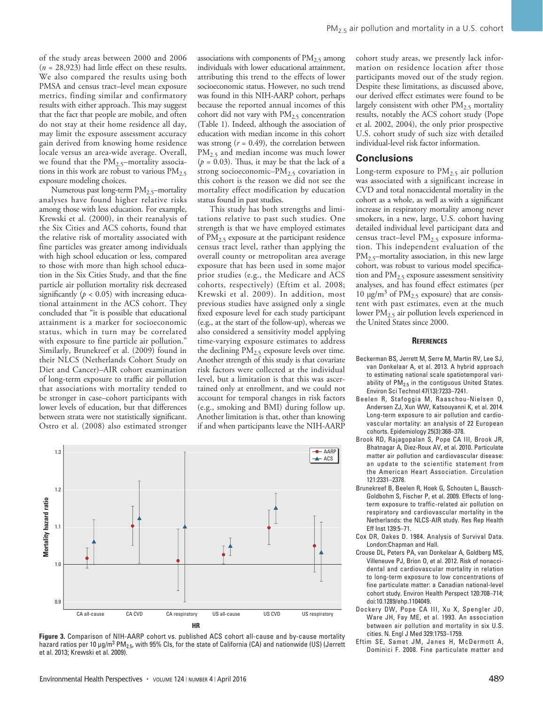of the study areas between 2000 and 2006 (*n* = 28,923) had little effect on these results. We also compared the results using both PMSA and census tract–level mean exposure metrics, finding similar and confirmatory results with either approach. This may suggest that the fact that people are mobile, and often do not stay at their home residence all day, may limit the exposure assessment accuracy gain derived from knowing home residence locale versus an area-wide average. Overall, we found that the  $PM_{2.5}$ -mortality associations in this work are robust to various  $PM_{2.5}$ exposure modeling choices.

Numerous past long-term PM<sub>2.5</sub>-mortality analyses have found higher relative risks among those with less education. For example, Krewski et al. (2000), in their reanalysis of the Six Cities and ACS cohorts, found that the relative risk of mortality associated with fine particles was greater among individuals with high school education or less, compared to those with more than high school education in the Six Cities Study, and that the fine particle air pollution mortality risk decreased significantly  $(p < 0.05)$  with increasing educational attainment in the ACS cohort. They concluded that "it is possible that educational attainment is a marker for socioeconomic status, which in turn may be correlated with exposure to fine particle air pollution." Similarly, Brunekreef et al. (2009) found in their NLCS (Netherlands Cohort Study on Diet and Cancer)–AIR cohort examination of long-term exposure to traffic air pollution that associations with mortality tended to be stronger in case–cohort participants with lower levels of education, but that differences between strata were not statistically significant. Ostro et al. (2008) also estimated stronger

associations with components of  $PM<sub>2.5</sub>$  among individuals with lower educational attainment, attributing this trend to the effects of lower socioeconomic status. However, no such trend was found in this NIH-AARP cohort, perhaps because the reported annual incomes of this cohort did not vary with  $PM_{2.5}$  concentration (Table 1). Indeed, although the association of education with median income in this cohort was strong  $(r = 0.49)$ , the correlation between PM<sub>2.5</sub> and median income was much lower  $(p = 0.03)$ . Thus, it may be that the lack of a strong socioeconomic– $PM_{2.5}$  covariation in this cohort is the reason we did not see the mortality effect modification by education status found in past studies.

This study has both strengths and limitations relative to past such studies. One strength is that we have employed estimates of PM2.5 exposure at the participant residence census tract level, rather than applying the overall county or metropolitan area average exposure that has been used in some major prior studies (e.g., the Medicare and ACS cohorts, respectively) (Eftim et al. 2008; Krewski et al. 2009). In addition, most previous studies have assigned only a single fixed exposure level for each study participant (e.g., at the start of the follow-up), whereas we also considered a sensitivity model applying time-varying exposure estimates to address the declining PM<sub>2.5</sub> exposure levels over time. Another strength of this study is that covariate risk factors were collected at the individual level, but a limitation is that this was ascertained only at enrollment, and we could not account for temporal changes in risk factors (e.g., smoking and BMI) during follow up. Another limitation is that, other than knowing if and when participants leave the NIH-AARP



**Figure 3.** Comparison of NIH-AARP cohort vs. published ACS cohort all-cause and by-cause mortality hazard ratios per 10 μg/m<sup>3</sup> PM<sub>2.5</sub>, with 95% CIs, for the state of California (CA) and nationwide (US) (Jerrett et al. 2013; Krewski et al. 2009).

cohort study areas, we presently lack information on residence location after those participants moved out of the study region. Despite these limitations, as discussed above, our derived effect estimates were found to be largely consistent with other  $PM_{2.5}$  mortality results, notably the ACS cohort study (Pope et al. 2002, 2004), the only prior prospective U.S. cohort study of such size with detailed individual-level risk factor information.

#### **Conclusions**

Long-term exposure to  $PM<sub>2.5</sub>$  air pollution was associated with a significant increase in CVD and total nonaccidental mortality in the cohort as a whole, as well as with a significant increase in respiratory mortality among never smokers, in a new, large, U.S. cohort having detailed individual level participant data and census tract-level PM<sub>2.5</sub> exposure information. This independent evaluation of the PM<sub>2.5</sub>-mortality association, in this new large cohort, was robust to various model specification and PM2.5 exposure assessment sensitivity analyses, and has found effect estimates (per 10 μg/m<sup>3</sup> of  $PM_{2.5}$  exposure) that are consistent with past estimates, even at the much lower PM<sub>2.5</sub> air pollution levels experienced in the United States since 2000.

#### **References**

- Beckerman BS, Jerrett M, Serre M, Martin RV, Lee SJ, van Donkelaar A, et al. 2013. A hybrid approach to estimating national scale spatiotemporal variability of  $PM<sub>2.5</sub>$  in the contiguous United States. Environ Sci Technol 47(13):7233–7241.
- Beelen R, Stafoggia M, Raaschou-Nielsen O, Andersen ZJ, Xun WW, Katsouyanni K, et al. 2014. Long-term exposure to air pollution and cardiovascular mortality: an analysis of 22 European cohorts. Epidemiology 25(3):368–378.
- Brook RD, Rajagopalan S, Pope CA III, Brook JR, Bhatnagar A, Diez-Roux AV, et al. 2010. Particulate matter air pollution and cardiovascular disease: an update to the scientific statement from the American Heart Association. Circulation 121:2331–2378.
- Brunekreef B, Beelen R, Hoek G, Schouten L, Bausch-Goldbohm S, Fischer P, et al. 2009. Effects of longterm exposure to traffic-related air pollution on respiratory and cardiovascular mortality in the Netherlands: the NLCS-AIR study. Res Rep Health Eff Inst 139:5–71.
- Cox DR, Oakes D. 1984. Analysis of Survival Data. London:Chapman and Hall.
- Crouse DL, Peters PA, van Donkelaar A, Goldberg MS, Villeneuve PJ, Brion O, et al. 2012. Risk of nonaccidental and cardiovascular mortality in relation to long-term exposure to low concentrations of fine particulate matter: a Canadian national-level cohort study. Environ Health Perspect 120:708–714; doi:10.1289/ehp.1104049.
- Dockery DW, Pope CA III, Xu X, Spengler JD, Ware JH, Fay ME, et al. 1993. An association between air pollution and mortality in six U.S. cities. N. Engl J Med 329:1753–1759.
- Eftim SE, Samet JM, Janes H, McDermott A, Dominici F. 2008. Fine particulate matter and